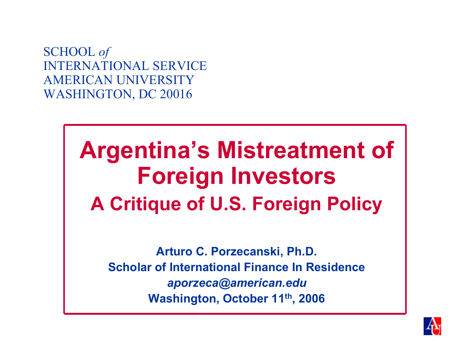SCHOOL *of* INTERNATIONAL SERVICEAMERICAN UNIVERSITYWASHINGTON, DC 20016

# **Argentina's Mistreatment of Foreign Investors A Critique of U.S. Foreign Policy**

**Arturo C. Porzecanski, Ph.D. Scholar of International Finance In Residence***aporzeca@american.edu* **Washington, October 11th, 2006**

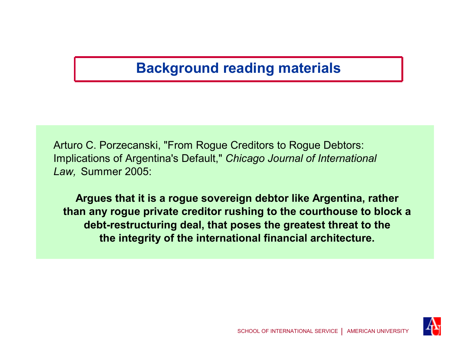## **Background reading materials**

Arturo C. Porzecanski, "From Rogue Creditors to Rogue Debtors: Implications of Argentina's Default," *Chicago Journal of International Law,* Summer 2005:

**Argues that it is a rogue sovereign debtor like Argentina, rather than any rogue private creditor rushing to the courthouse to block a debt-restructuring deal, that poses the greatest threat to the the integrity of the international financial architecture.**

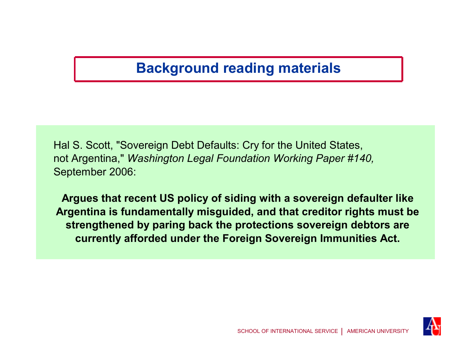## **Background reading materials**

Hal S. Scott, "Sovereign Debt Defaults: Cry for the United States, not Argentina," *Washington Legal Foundation Working Paper #140,* September 2006:

**Argues that recent US policy of siding with a sovereign defaulter like Argentina is fundamentally misguided, and that creditor rights must be strengthened by paring back the protections sovereign debtors are currently afforded under the Foreign Sovereign Immunities Act.**

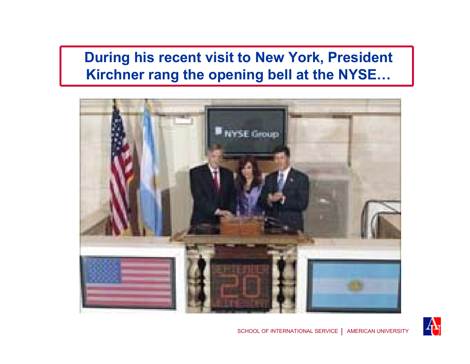### **During his recent visit to New York, President Kirchner rang the opening bell at the NYSE...**



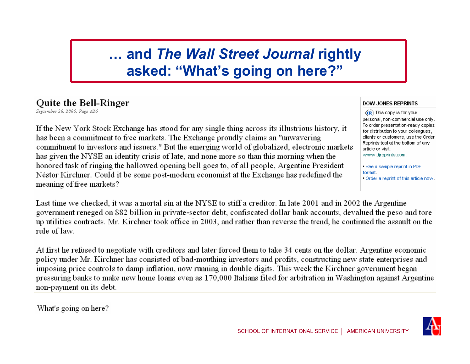## **<sup>Ö</sup> and** *The Wall Street Journal* **rightly**  asked: "What's going on here?"

#### **Quite the Bell-Ringer**

September 20, 2006; Page A26

If the New York Stock Exchange has stood for any single thing across its illustrious history, it has been a commitment to free markets. The Exchange proudly claims an "unwavering" commitment to investors and issuers." But the emerging world of globalized, electronic markets has given the NYSE an identity crisis of late, and none more so than this morning when the honored task of ringing the hallowed opening bell goes to, of all people, Argentine President Néstor Kirchner. Could it be some post-modern economist at the Exchange has redefined the meaning of free markets?

#### **DOW JONES REPRINTS**

 $\langle R \rangle$  This copy is for your personal, non-commercial use only. To order presentation-ready copies for distribution to your colleagues, clients or customers, use the Order Reprints tool at the bottom of any article or visit: www.djreprints.com.

- See a sample reprint in PDF format. - Order a reprint of this article now.

Last time we checked, it was a mortal sin at the NYSE to stiff a creditor. In late 2001 and in 2002 the Argentine government reneged on \$82 billion in private-sector debt, confiscated dollar bank accounts, devalued the peso and tore up utilities contracts. Mr. Kirchner took office in 2003, and rather than reverse the trend, he continued the assault on the rule of law.

At first he refused to negotiate with creditors and later forced them to take 34 cents on the dollar. Argentine economic policy under Mr. Kirchner has consisted of bad-mouthing investors and profits, constructing new state enterprises and imposing price controls to damp inflation, now running in double digits. This week the Kirchner government began pressuring banks to make new home loans even as 170,000 Italians filed for arbitration in Washington against Argentine non-payment on its debt.

What's going on here?

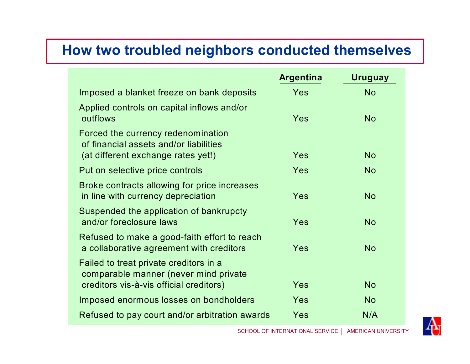#### **How two troubled neighbors conducted themselves**

|                                                                                          | <b>Argentina</b> | Uruguay   |
|------------------------------------------------------------------------------------------|------------------|-----------|
| Imposed a blanket freeze on bank deposits                                                | Yes              | <b>No</b> |
| Applied controls on capital inflows and/or<br>outflows                                   | Yes              | <b>No</b> |
| Forced the currency redenomination<br>of financial assets and/or liabilities             |                  |           |
| (at different exchange rates yet!)                                                       | Yes              | <b>No</b> |
| Put on selective price controls                                                          | <b>Yes</b>       | <b>No</b> |
| Broke contracts allowing for price increases<br>in line with currency depreciation       | Yes              | <b>No</b> |
| Suspended the application of bankrupcty<br>and/or foreclosure laws                       | Yes              | <b>No</b> |
| Refused to make a good-faith effort to reach<br>a collaborative agreement with creditors | Yes              | <b>No</b> |
| Failed to treat private creditors in a<br>comparable manner (never mind private          |                  |           |
| creditors vis-à-vis official creditors)                                                  | Yes              | <b>No</b> |
| Imposed enormous losses on bondholders                                                   | Yes              | <b>No</b> |
| Refused to pay court and/or arbitration awards                                           | Yes              | N/A       |

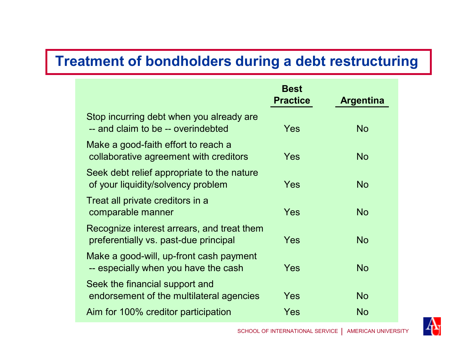#### **Treatment of bondholders during a debt restructuring**

|                                                                                     | <b>Best</b><br><b>Practice</b> | <b>Argentina</b> |
|-------------------------------------------------------------------------------------|--------------------------------|------------------|
| Stop incurring debt when you already are<br>-- and claim to be -- overindebted      | Yes                            | <b>No</b>        |
| Make a good-faith effort to reach a<br>collaborative agreement with creditors       | Yes                            | <b>No</b>        |
| Seek debt relief appropriate to the nature<br>of your liquidity/solvency problem    | Yes                            | <b>No</b>        |
| Treat all private creditors in a<br>comparable manner                               | Yes                            | <b>No</b>        |
| Recognize interest arrears, and treat them<br>preferentially vs. past-due principal | Yes                            | <b>No</b>        |
| Make a good-will, up-front cash payment<br>-- especially when you have the cash     | Yes                            | <b>No</b>        |
| Seek the financial support and<br>endorsement of the multilateral agencies          | Yes                            | <b>No</b>        |
| Aim for 100% creditor participation                                                 | Yes                            | <b>No</b>        |

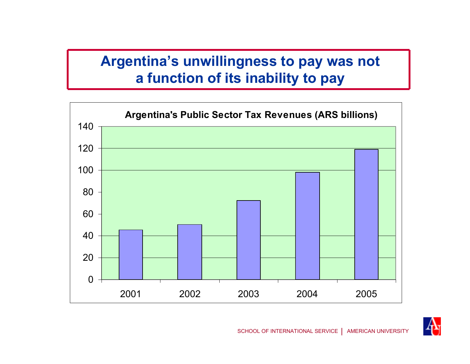### Argentina's unwillingness to pay was not **a function of its inability to pay**



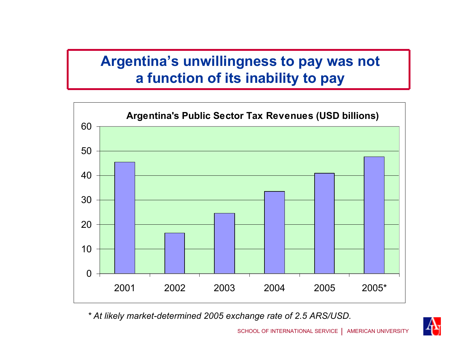### Argentina's unwillingness to pay was not **a function of its inability to pay**



*\* At likely market-determined 2005 exchange rate of 2.5 ARS/USD.*

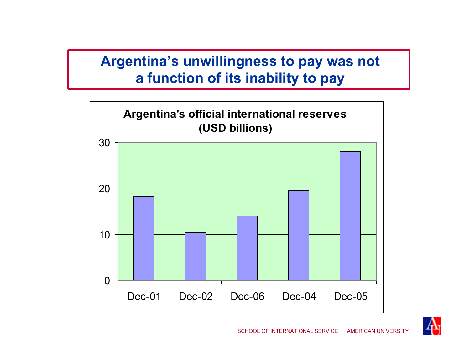### Argentina's unwillingness to pay was not **a function of its inability to pay**



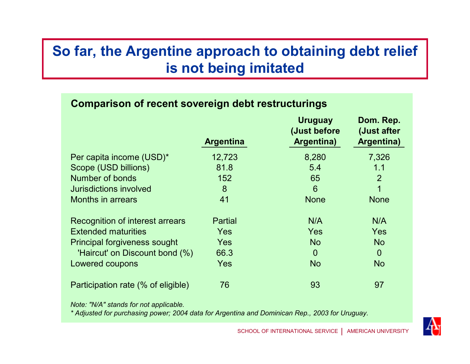### **So far, the Argentine approach to obtaining debt relief is not being imitated**

| Comparison of recent sovereign debt restructurings |                  |             |                                                |  |  |
|----------------------------------------------------|------------------|-------------|------------------------------------------------|--|--|
|                                                    | <b>Argentina</b> |             | Dom. Rep.<br>(Just after<br><b>Argentina</b> ) |  |  |
| Per capita income (USD)*                           | 12,723           | 8,280       | 7,326                                          |  |  |
| Scope (USD billions)                               | 81.8             | 5.4         | 1.1                                            |  |  |
| Number of bonds                                    | 152              | 65          | 2                                              |  |  |
| Jurisdictions involved                             | 8                | 6           | 1                                              |  |  |
| <b>Months in arrears</b>                           | 41               | <b>None</b> | <b>None</b>                                    |  |  |
| Recognition of interest arrears                    | <b>Partial</b>   | N/A         | N/A                                            |  |  |
| <b>Extended maturities</b>                         | <b>Yes</b>       | <b>Yes</b>  | <b>Yes</b>                                     |  |  |
| <b>Principal forgiveness sought</b>                | <b>Yes</b>       | <b>No</b>   | <b>No</b>                                      |  |  |
| 'Haircut' on Discount bond (%)                     | 66.3             | $\Omega$    | $\Omega$                                       |  |  |
| <b>Lowered coupons</b>                             | <b>Yes</b>       | <b>No</b>   | <b>No</b>                                      |  |  |
| Participation rate (% of eligible)                 | 76               | 93          | 97                                             |  |  |

*Note: "N/A" stands for not applicable.*

*\* Adjusted for purchasing power; 2004 data for Argentina and Dominican Rep., 2003 for Uruguay.*

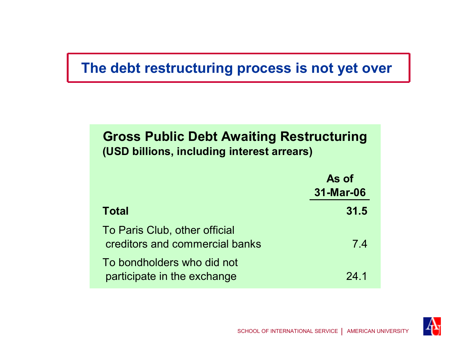#### **The debt restructuring process is not yet over**

#### **Gross Public Debt Awaiting Restructuring (USD billions, including interest arrears)**

|                                                                 | As of<br>31-Mar-06 |
|-----------------------------------------------------------------|--------------------|
| <b>Total</b>                                                    | 31.5               |
| To Paris Club, other official<br>creditors and commercial banks | 7.4                |
| To bondholders who did not<br>participate in the exchange       | 24.1               |

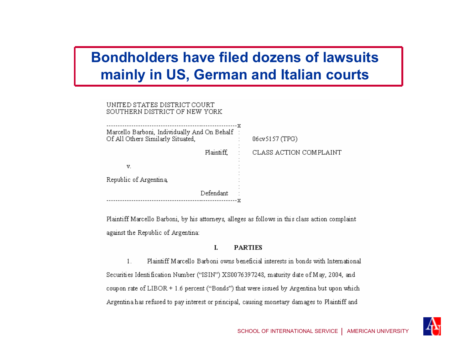#### **Bondholders have filed dozens of lawsuits mainly in US, German and Italian courts**

| UNITED STATES DISTRICT COURT<br>SOUTHERN DISTRICT OF NEW YORK                     |                        |
|-----------------------------------------------------------------------------------|------------------------|
| Marcello Barboni, Individually And On Behalf<br>Of All Others Similarly Situated, | 06cv5157 (TPG)         |
| Plaintiff                                                                         | CLASS ACTION COMPLAINT |
| V.                                                                                |                        |
| Republic of Argentina                                                             |                        |
| Defendant                                                                         |                        |

Plaintiff Marcello Barboni, by his attorneys, alleges as follows in this class action complaint against the Republic of Argentina:

#### $\mathbf{I}$ . **PARTIES**

Plaintiff Marcello Barboni owns beneficial interests in bonds with International  $1<sub>1</sub>$ Securities Identification Number ("ISIN") XS0076397248, maturity date of May, 2004, and coupon rate of LIBOR + 1.6 percent ("Bonds") that were issued by Argentina but upon which Argentina has refused to pay interest or principal, causing monetary damages to Plaintiff and

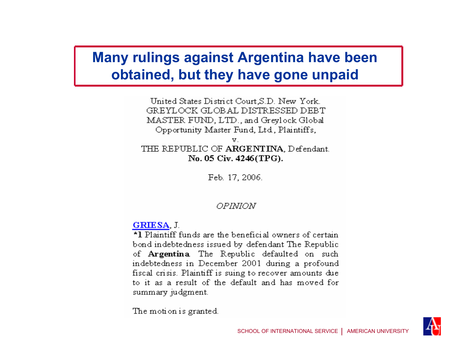#### **Many rulings against Argentina have been obtained, but they have gone unpaid**

United States District Court, S.D. New York. GREYLOCK GLOBAL DISTRESSED DEBT MASTER FUND, LTD., and Greylock Global Opportunity Master Fund, Ltd. Plaintiffs,

V. THE REPUBLIC OF ARGENTINA, Defendant. No. 05 Civ. 4246(TPG).

Feb. 17, 2006.

#### OPINION

#### **GRIESA, J.**

\*1 Plaintiff funds are the beneficial owners of certain bond indebtedness issued by defendant The Republic of **Argentina** The Republic defaulted on such indebtedness in December 2001 during a profound fiscal crisis. Plaintiff is suing to recover amounts due to it as a result of the default and has moved for summary judgment.

The motion is granted.

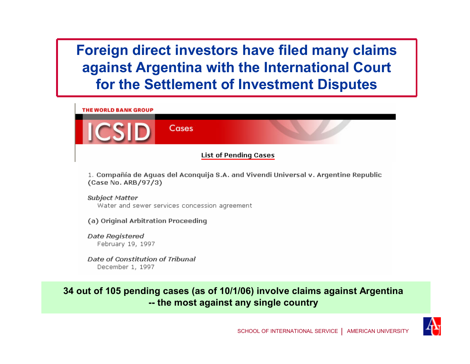**Foreign direct investors have filed many claims against Argentina with the International Court for the Settlement of Investment Disputes**

| <b>THE WORLD BANK GROUP</b>  |       |  |  |  |
|------------------------------|-------|--|--|--|
|                              | Cases |  |  |  |
| <b>List of Pending Cases</b> |       |  |  |  |

1. Compañía de Aquas del Aconquija S.A. and Vivendi Universal v. Argentine Republic (Case No. ARB/97/3)

Subject Matter Water and sewer services concession agreement

#### (a) Original Arbitration Proceeding

**Date Registered** February 19, 1997

Date of Constitution of Tribunal December 1, 1997

#### **34 out of 105 pending cases (as of 10/1/06) involve claims against Argentina -- the most against any single country**

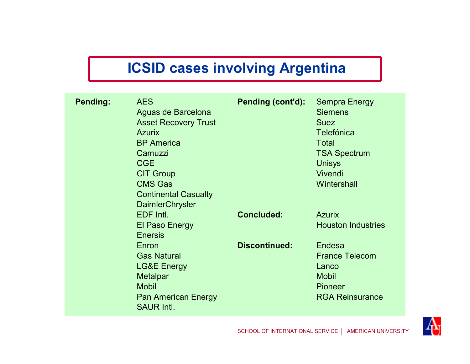## **ICSID cases involving Argentina**

| <b>Pending:</b> | <b>AES</b><br>Aguas de Barcelona<br><b>Asset Recovery Trust</b><br><b>Azurix</b><br><b>BP</b> America<br>Camuzzi<br><b>CGE</b><br><b>CIT Group</b><br><b>CMS Gas</b><br><b>Continental Casualty</b><br><b>DaimlerChrysler</b> | <b>Pending (cont'd):</b> | Sempra Energy<br><b>Siemens</b><br><b>Suez</b><br><b>Telefónica</b><br>Total<br><b>TSA Spectrum</b><br><b>Unisys</b><br><b>Vivendi</b><br>Wintershall |
|-----------------|-------------------------------------------------------------------------------------------------------------------------------------------------------------------------------------------------------------------------------|--------------------------|-------------------------------------------------------------------------------------------------------------------------------------------------------|
|                 | EDF Intl.<br>El Paso Energy<br><b>Enersis</b>                                                                                                                                                                                 | <b>Concluded:</b>        | <b>Azurix</b><br><b>Houston Industries</b>                                                                                                            |
|                 | Enron<br><b>Gas Natural</b><br><b>LG&amp;E Energy</b><br><b>Metalpar</b><br><b>Mobil</b><br><b>Pan American Energy</b><br><b>SAUR Intl.</b>                                                                                   | <b>Discontinued:</b>     | Endesa<br><b>France Telecom</b><br>Lanco<br><b>Mobil</b><br><b>Pioneer</b><br><b>RGA Reinsurance</b>                                                  |

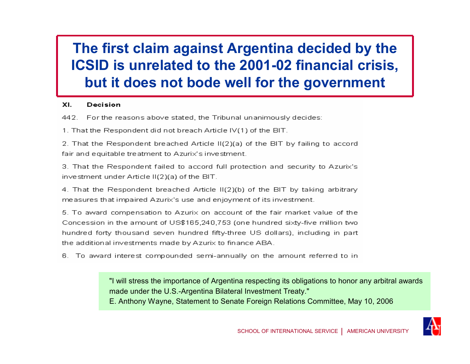## **The first claim against Argentina decided by the ICSID is unrelated to the 2001-02 financial crisis, but it does not bode well for the government**

#### XI. Decision

442. For the reasons above stated, the Tribunal unanimously decides:

1. That the Respondent did not breach Article IV(1) of the BIT.

2. That the Respondent breached Article II(2)(a) of the BIT by failing to accord fair and equitable treatment to Azurix's investment.

3. That the Respondent failed to accord full protection and security to Azurix's investment under Article II(2)(a) of the BIT.

4. That the Respondent breached Article  $II(2)(b)$  of the BIT by taking arbitrary measures that impaired Azurix's use and enjoyment of its investment.

5. To award compensation to Azurix on account of the fair market value of the Concession in the amount of US\$165,240,753 (one hundred sixty-five million two hundred forty thousand seven hundred fifty-three US dollars), including in part the additional investments made by Azurix to finance ABA.

6. To award interest compounded semi-annually on the amount referred to in

"I will stress the importance of Argentina respecting its obligations to honor any arbitral awards made under the U.S.-Argentina Bilateral Investment Treaty."

E. Anthony Wayne, Statement to Senate Foreign Relations Committee, May 10, 2006

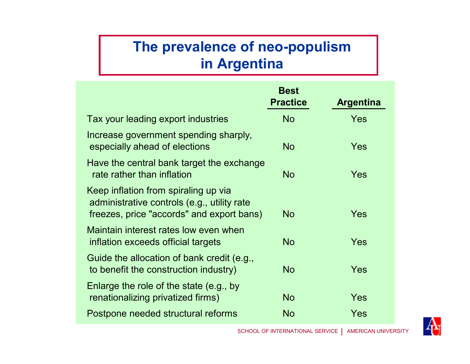### **The prevalence of neo-populism in Argentina**

|                                                                                                                                  | <b>Best</b><br><b>Practice</b> | <b>Argentina</b> |
|----------------------------------------------------------------------------------------------------------------------------------|--------------------------------|------------------|
| Tax your leading export industries                                                                                               | <b>No</b>                      | Yes              |
| Increase government spending sharply,<br>especially ahead of elections                                                           | <b>No</b>                      | Yes              |
| Have the central bank target the exchange<br>rate rather than inflation                                                          | <b>No</b>                      | Yes              |
| Keep inflation from spiraling up via<br>administrative controls (e.g., utility rate<br>freezes, price "accords" and export bans) | <b>No</b>                      | Yes              |
| Maintain interest rates low even when<br>inflation exceeds official targets                                                      | <b>No</b>                      | Yes              |
| Guide the allocation of bank credit (e.g.,<br>to benefit the construction industry)                                              | <b>No</b>                      | Yes              |
| Enlarge the role of the state (e.g., by<br>renationalizing privatized firms)                                                     | <b>No</b>                      | Yes              |
| Postpone needed structural reforms                                                                                               | <b>No</b>                      | Yes              |

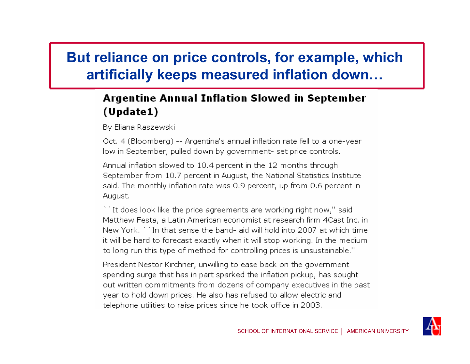#### **But reliance on price controls, for example, which artificially keeps measured inflation down...**

#### Argentine Annual Inflation Slowed in September (Update1)

By Eliana Raszewski

Oct. 4 (Bloomberg) -- Argentina's annual inflation rate fell to a one-year low in September, pulled down by government- set price controls.

Annual inflation slowed to 10.4 percent in the 12 months through September from 10.7 percent in August, the National Statistics Institute said. The monthly inflation rate was 0.9 percent, up from 0.6 percent in August.

``It does look like the price agreements are working right now," said Matthew Festa, a Latin American economist at research firm 4Cast Inc. in New York. ``In that sense the band- aid will hold into 2007 at which time it will be hard to forecast exactly when it will stop working. In the medium to long run this type of method for controlling prices is unsustainable."

President Nestor Kirchner, unwilling to ease back on the government spending surge that has in part sparked the inflation pickup, has sought out written commitments from dozens of company executives in the past year to hold down prices. He also has refused to allow electric and telephone utilities to raise prices since he took office in 2003.

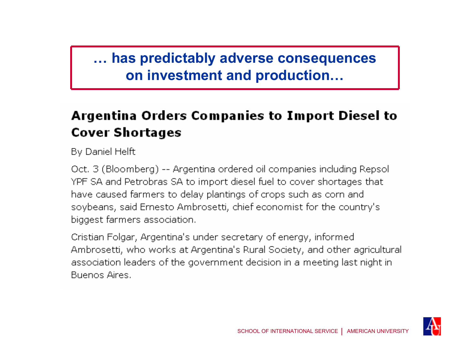#### **<sup>Ö</sup> has predictably adverse consequences on investment and production...**

### Argentina Orders Companies to Import Diesel to **Cover Shortages**

By Daniel Helft

Oct. 3 (Bloomberg) -- Argentina ordered oil companies including Repsol YPF SA and Petrobras SA to import diesel fuel to cover shortages that have caused farmers to delay plantings of crops such as corn and soybeans, said Ernesto Ambrosetti, chief economist for the country's biggest farmers association.

Cristian Folgar, Argentina's under secretary of energy, informed Ambrosetti, who works at Argentina's Rural Society, and other agricultural association leaders of the government decision in a meeting last night in Buenos Aires.

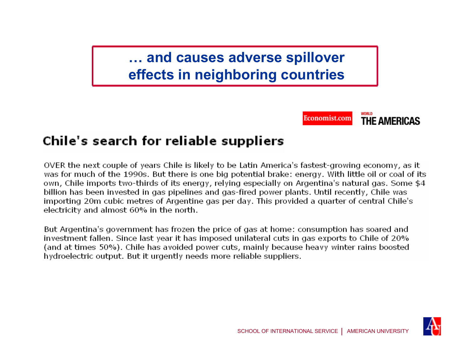#### **<sup>Ö</sup> and causes adverse spillover effects in neighboring countries**

Economist.com

WORLD **THE AMERICAS** 

#### Chile's search for reliable suppliers

OVER the next couple of years Chile is likely to be Latin America's fastest-growing economy, as it was for much of the 1990s. But there is one big potential brake: energy. With little oil or coal of its own, Chile imports two-thirds of its energy, relying especially on Argentina's natural gas. Some \$4 billion has been invested in gas pipelines and gas-fired power plants. Until recently, Chile was importing 20m cubic metres of Argentine gas per day. This provided a quarter of central Chile's electricity and almost 60% in the north.

But Argentina's government has frozen the price of gas at home: consumption has soared and investment fallen. Since last year it has imposed unilateral cuts in gas exports to Chile of 20% (and at times 50%). Chile has avoided power cuts, mainly because heavy winter rains boosted hydroelectric output. But it urgently needs more reliable suppliers.

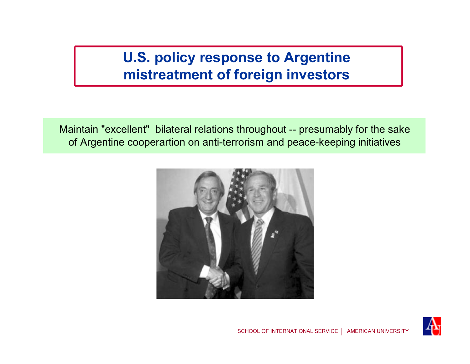Maintain "excellent" bilateral relations throughout -- presumably for the sake of Argentine cooperartion on anti-terrorism and peace-keeping initiatives



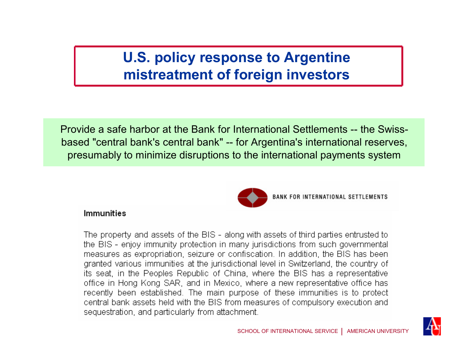Provide a safe harbor at the Bank for International Settlements -- the Swissbased "central bank's central bank" -- for Argentina's international reserves, presumably to minimize disruptions to the international payments system



#### **Immunities**

The property and assets of the BIS - along with assets of third parties entrusted to the BIS - enjoy immunity protection in many jurisdictions from such governmental measures as expropriation, seizure or confiscation. In addition, the BIS has been granted various immunities at the jurisdictional level in Switzerland, the country of its seat, in the Peoples Republic of China, where the BIS has a representative office in Hong Kong SAR, and in Mexico, where a new representative office has recently been established. The main purpose of these immunities is to protect central bank assets held with the BIS from measures of compulsory execution and sequestration, and particularly from attachment.

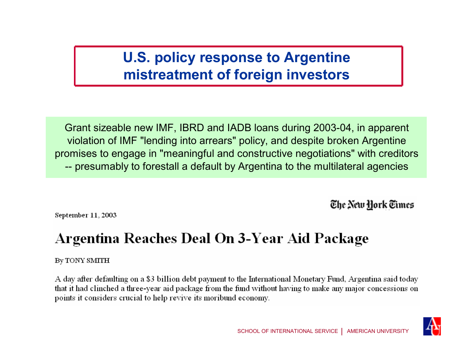Grant sizeable new IMF, IBRD and IADB loans during 2003-04, in apparent violation of IMF "lending into arrears" policy, and despite broken Argentine promises to engage in "meaningful and constructive negotiations" with creditors -- presumably to forestall a default by Argentina to the multilateral agencies

The New Hork Times

September 11, 2003

## Argentina Reaches Deal On 3-Year Aid Package

#### By TONY SMITH

A day after defaulting on a \$3 billion debt payment to the International Monetary Fund, Argentina said today that it had clinched a three-year aid package from the fund without having to make any major concessions on points it considers crucial to help revive its moribund economy.

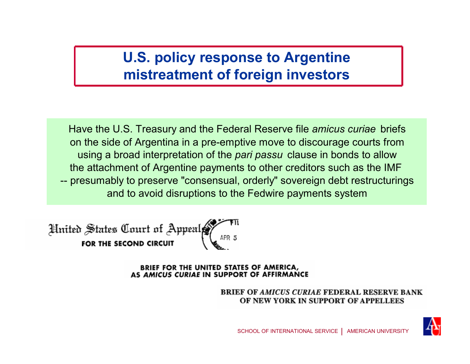Have the U.S. Treasury and the Federal Reserve file *amicus curiae* briefs on the side of Argentina in a pre-emptive move to discourage courts from using a broad interpretation of the *pari passu* clause in bonds to allow the attachment of Argentine payments to other creditors such as the IMF -- presumably to preserve "consensual, orderly" sovereign debt restructurings and to avoid disruptions to the Fedwire payments system

United States Court of Appeal

BRIEF FOR THE UNITED STATES OF AMERICA, AS AMICUS CURIAE IN SUPPORT OF AFFIRMANCE

> **BRIEF OF AMICUS CURIAE FEDERAL RESERVE BANK** OF NEW YORK IN SUPPORT OF APPELLEES

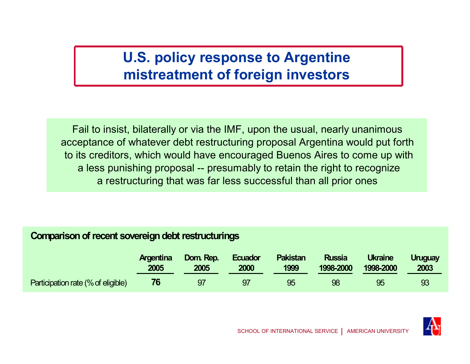Fail to insist, bilaterally or via the IMF, upon the usual, nearly unanimous acceptance of whatever debt restructuring proposal Argentina would put forth to its creditors, which would have encouraged Buenos Aires to come up with a less punishing proposal -- presumably to retain the right to recognize a restructuring that was far less successful than all prior ones

#### **Comparison of recent sovereign debt restructurings**

|                                    | <b>Argentina</b> | Dom. Rep. | <b>Ecuador</b> | <b>Pakistan</b> | <b>Russia</b> | <b>Ukraine</b> | <b>Uruguay</b> |
|------------------------------------|------------------|-----------|----------------|-----------------|---------------|----------------|----------------|
|                                    | 2005             | 2005      | 2000           | 1999            | 1998-2000     | 1998-2000      | 2003           |
| Participation rate (% of eligible) | 76               | 97        | 97             | 95              | 98            | 95             | 93             |

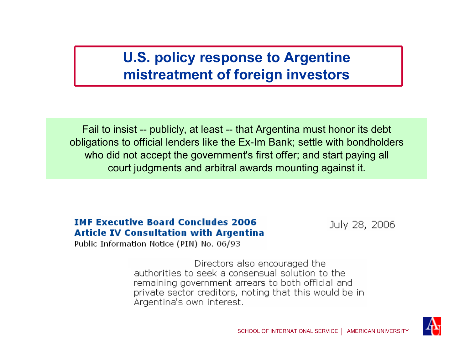Fail to insist -- publicly, at least -- that Argentina must honor its debt obligations to official lenders like the Ex-Im Bank; settle with bondholders who did not accept the government's first offer; and start paying all court judgments and arbitral awards mounting against it.

#### **IMF Executive Board Concludes 2006 Article IV Consultation with Argentina**

July 28, 2006

Public Information Notice (PIN) No. 06/93

Directors also encouraged the authorities to seek a consensual solution to the remaining government arrears to both official and private sector creditors, noting that this would be in Argentina's own interest.

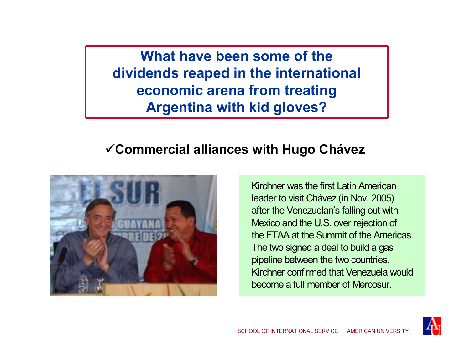#### **V Commercial alliances with Hugo Chávez**



Kirchner was the first Latin Americanleader to visit Chávez (in Nov. 2005) after the Venezuelan's falling out with Mexico and the U.S. over rejection of the FTAA at the Summit of the Americas.The two signed a deal to build a gas pipeline between the two countries. Kirchner confirmed that Venezuela wouldbecome a full member of Mercosur.

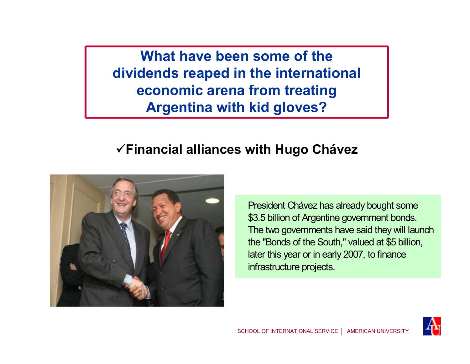#### **VEinancial alliances with Hugo Chávez**



President Chávez has already bought some \$3.5 billion of Argentine government bonds. The two governments have said they will launch the "Bonds of the South," valued at \$5 billion, later this year or in early 2007, to finance infrastructure projects.

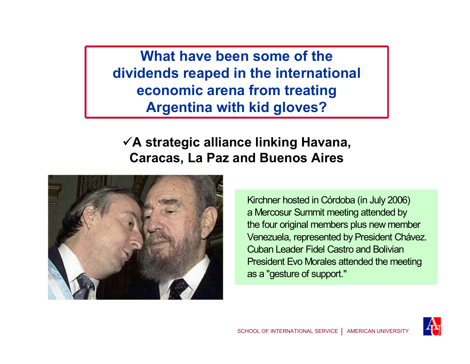**√A strategic alliance linking Havana, Caracas, La Paz and Buenos Aires**



Kirchner hosted in Córdoba (in July 2006) a Mercosur Summit meeting attended by the four original members plus new member Venezuela, represented by President Chávez. Cuban Leader Fidel Castro and BolivianPresident Evo Morales attended the meeting as a "gesture of support."

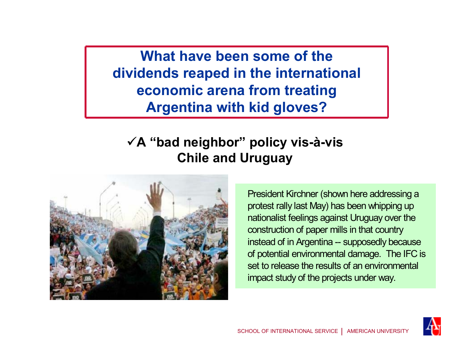#### **√A "bad neighbor" policy vis-à-vis Chile and Uruguay**



President Kirchner (shown here addressing a protest rally last May) has been whipping up nationalist feelings against Uruguay over the construction of paper mills in that country instead of in Argentina -- supposedly because of potential environmental damage. The IFC is set to release the results of an environmentalimpact study of the projects under way.

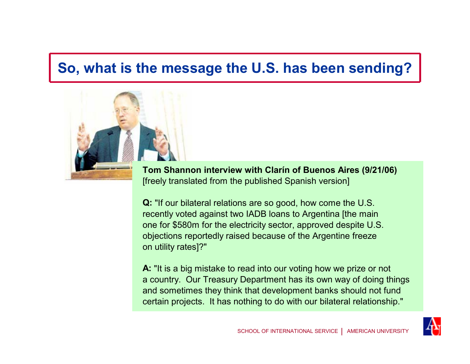### **So, what is the message the U.S. has been sending?**



**Tom Shannon interview with Clarín of Buenos Aires (9/21/06)** [freely translated from the published Spanish version]

**Q:** "If our bilateral relations are so good, how come the U.S. recently voted against two IADB loans to Argentina [the main one for \$580m for the electricity sector, approved despite U.S. objections reportedly raised because of the Argentine freeze on utility rates]?"

**A:** "It is a big mistake to read into our voting how we prize or not a country. Our Treasury Department has its own way of doing things and sometimes they think that development banks should not fund certain projects. It has nothing to do with our bilateral relationship."

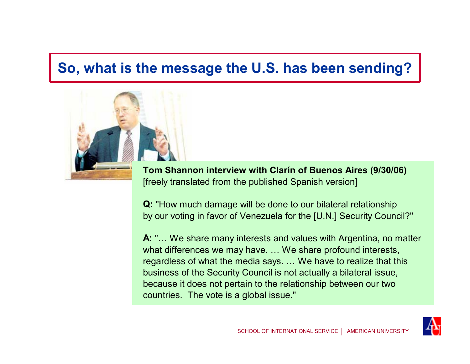### **So, what is the message the U.S. has been sending?**



**Tom Shannon interview with Clarín of Buenos Aires (9/30/06)** [freely translated from the published Spanish version]

**Q:** "How much damage will be done to our bilateral relationship by our voting in favor of Venezuela for the [U.N.] Security Council?"

**A:** "... We share many interests and values with Argentina, no matter what differences we may have. ... We share profound interests, regardless of what the media says. ... We have to realize that this business of the Security Council is not actually a bilateral issue, because it does not pertain to the relationship between our two countries. The vote is a global issue."